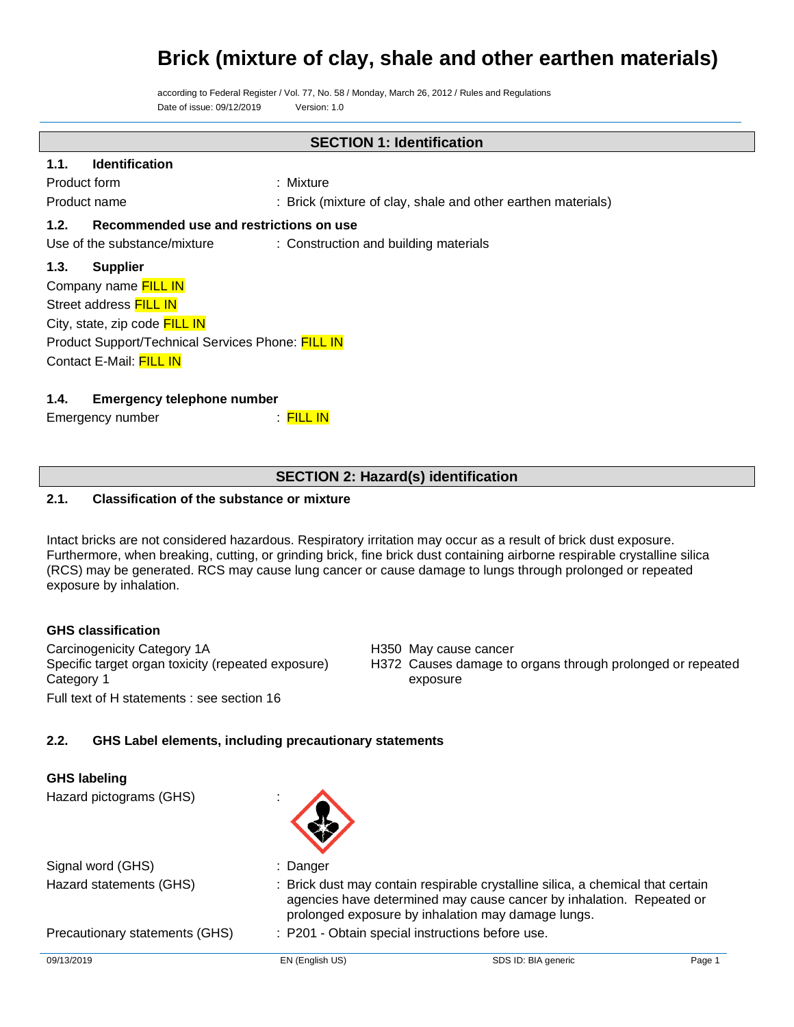according to Federal Register / Vol. 77, No. 58 / Monday, March 26, 2012 / Rules and Regulations Date of issue: 09/12/2019 Version: 1.0

## **SECTION 1: Identification**

## **1.1. Identification**

| Product form | Mixture                                                      |
|--------------|--------------------------------------------------------------|
| Product name | : Brick (mixture of clay, shale and other earthen materials) |

## **1.2. Recommended use and restrictions on use**

Use of the substance/mixture : Construction and building materials

## **1.3. Supplier**

| Company name FILL IN                              |
|---------------------------------------------------|
| Street address FILL IN                            |
| City, state, zip code FILL IN                     |
| Product Support/Technical Services Phone: FILL IN |
| Contact E-Mail: FILL IN                           |

## **1.4. Emergency telephone number**

Emergency number : FILL IN

## **SECTION 2: Hazard(s) identification**

## **2.1. Classification of the substance or mixture**

Intact bricks are not considered hazardous. Respiratory irritation may occur as a result of brick dust exposure. Furthermore, when breaking, cutting, or grinding brick, fine brick dust containing airborne respirable crystalline silica (RCS) may be generated. RCS may cause lung cancer or cause damage to lungs through prolonged or repeated exposure by inhalation.

## **GHS classification**

Carcinogenicity Category 1A **H350** May cause cancer Specific target organ toxicity (repeated exposure) Category 1 Full text of H statements : see section 16

## H372 Causes damage to organs through prolonged or repeated exposure

## **2.2. GHS Label elements, including precautionary statements**

| <b>GHS labeling</b><br>Hazard pictograms (GHS) |                                                                                                                                                                                                               |                     |        |
|------------------------------------------------|---------------------------------------------------------------------------------------------------------------------------------------------------------------------------------------------------------------|---------------------|--------|
| Signal word (GHS)                              | : Danger                                                                                                                                                                                                      |                     |        |
| Hazard statements (GHS)                        | : Brick dust may contain respirable crystalline silica, a chemical that certain<br>agencies have determined may cause cancer by inhalation. Repeated or<br>prolonged exposure by inhalation may damage lungs. |                     |        |
| Precautionary statements (GHS)                 | : P201 - Obtain special instructions before use.                                                                                                                                                              |                     |        |
| 09/13/2019                                     | EN (English US)                                                                                                                                                                                               | SDS ID: BIA generic | Page 1 |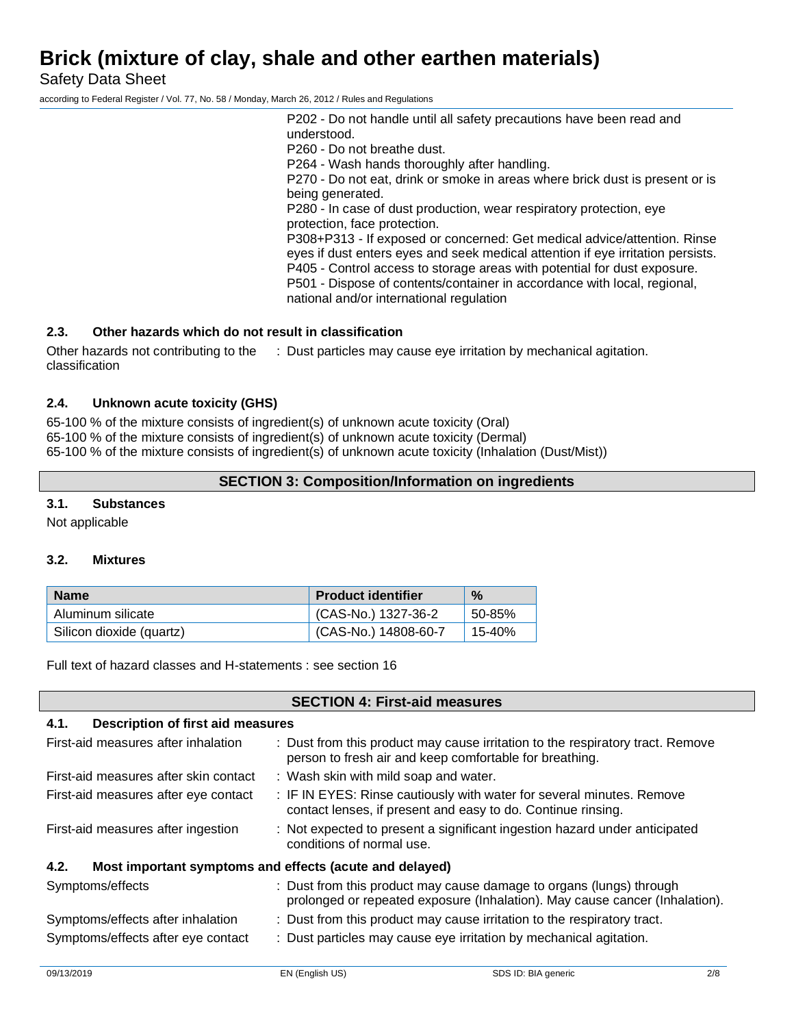Safety Data Sheet

according to Federal Register / Vol. 77, No. 58 / Monday, March 26, 2012 / Rules and Regulations

P202 - Do not handle until all safety precautions have been read and understood. P260 - Do not breathe dust. P264 - Wash hands thoroughly after handling. P270 - Do not eat, drink or smoke in areas where brick dust is present or is being generated. P280 - In case of dust production, wear respiratory protection, eye protection, face protection. P308+P313 - If exposed or concerned: Get medical advice/attention. Rinse eyes if dust enters eyes and seek medical attention if eye irritation persists. P405 - Control access to storage areas with potential for dust exposure. P501 - Dispose of contents/container in accordance with local, regional, national and/or international regulation

## **2.3. Other hazards which do not result in classification**

Other hazards not contributing to the classification : Dust particles may cause eye irritation by mechanical agitation.

## **2.4. Unknown acute toxicity (GHS)**

65-100 % of the mixture consists of ingredient(s) of unknown acute toxicity (Oral) 65-100 % of the mixture consists of ingredient(s) of unknown acute toxicity (Dermal) 65-100 % of the mixture consists of ingredient(s) of unknown acute toxicity (Inhalation (Dust/Mist))

## **SECTION 3: Composition/Information on ingredients**

## **3.1. Substances**

Not applicable

## **3.2. Mixtures**

| <b>Name</b>              | <b>Product identifier</b> | $\%$   |
|--------------------------|---------------------------|--------|
| Aluminum silicate        | (CAS-No.) 1327-36-2       | 50-85% |
| Silicon dioxide (quartz) | (CAS-No.) 14808-60-7      | 15-40% |

Full text of hazard classes and H-statements : see section 16

|                                                                 | <b>SECTION 4: First-aid measures</b>                                                                                                               |  |  |
|-----------------------------------------------------------------|----------------------------------------------------------------------------------------------------------------------------------------------------|--|--|
| Description of first aid measures<br>4.1.                       |                                                                                                                                                    |  |  |
| First-aid measures after inhalation                             | : Dust from this product may cause irritation to the respiratory tract. Remove<br>person to fresh air and keep comfortable for breathing.          |  |  |
| First-aid measures after skin contact                           | : Wash skin with mild soap and water.                                                                                                              |  |  |
| First-aid measures after eye contact                            | : IF IN EYES: Rinse cautiously with water for several minutes. Remove<br>contact lenses, if present and easy to do. Continue rinsing.              |  |  |
| First-aid measures after ingestion                              | : Not expected to present a significant ingestion hazard under anticipated<br>conditions of normal use.                                            |  |  |
| Most important symptoms and effects (acute and delayed)<br>4.2. |                                                                                                                                                    |  |  |
| Symptoms/effects                                                | : Dust from this product may cause damage to organs (lungs) through<br>prolonged or repeated exposure (Inhalation). May cause cancer (Inhalation). |  |  |
| Symptoms/effects after inhalation                               | : Dust from this product may cause irritation to the respiratory tract.                                                                            |  |  |
| Symptoms/effects after eye contact                              | : Dust particles may cause eye irritation by mechanical agitation.                                                                                 |  |  |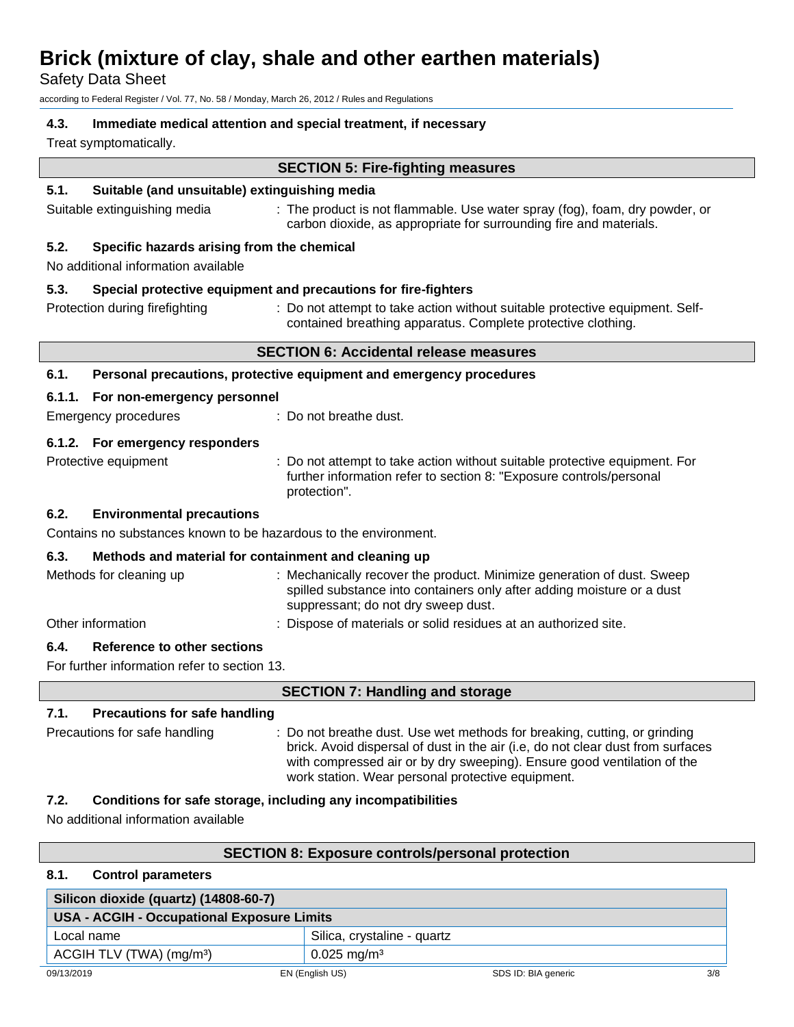Safety Data Sheet

according to Federal Register / Vol. 77, No. 58 / Monday, March 26, 2012 / Rules and Regulations

## **4.3. Immediate medical attention and special treatment, if necessary**

Treat symptomatically.

#### **SECTION 5: Fire-fighting measures**

#### **5.1. Suitable (and unsuitable) extinguishing media**

Suitable extinguishing media : The product is not flammable. Use water spray (fog), foam, dry powder, or carbon dioxide, as appropriate for surrounding fire and materials.

## **5.2. Specific hazards arising from the chemical**

No additional information available

#### **5.3. Special protective equipment and precautions for fire-fighters**

Protection during firefighting : Do not attempt to take action without suitable protective equipment. Selfcontained breathing apparatus. Complete protective clothing.

#### **SECTION 6: Accidental release measures**

#### **6.1. Personal precautions, protective equipment and emergency procedures**

Emergency procedures : Do not breathe dust.

#### **6.1.2. For emergency responders**

Protective equipment : Do not attempt to take action without suitable protective equipment. For further information refer to section 8: "Exposure controls/personal protection".

## **6.2. Environmental precautions**

Contains no substances known to be hazardous to the environment.

## **6.3. Methods and material for containment and cleaning up**

| Methods for cleaning up | : Mechanically recover the product. Minimize generation of dust. Sweep<br>spilled substance into containers only after adding moisture or a dust<br>suppressant; do not dry sweep dust. |
|-------------------------|-----------------------------------------------------------------------------------------------------------------------------------------------------------------------------------------|
| Other information       | : Dispose of materials or solid residues at an authorized site.                                                                                                                         |

## **6.4. Reference to other sections**

For further information refer to section 13.

| <b>SECTION 7: Handling and storage</b>       |                                                                                                                                                                                                                                                                                              |  |
|----------------------------------------------|----------------------------------------------------------------------------------------------------------------------------------------------------------------------------------------------------------------------------------------------------------------------------------------------|--|
| 7.1.<br><b>Precautions for safe handling</b> |                                                                                                                                                                                                                                                                                              |  |
| Precautions for safe handling                | : Do not breathe dust. Use wet methods for breaking, cutting, or grinding<br>brick. Avoid dispersal of dust in the air (i.e. do not clear dust from surfaces<br>with compressed air or by dry sweeping). Ensure good ventilation of the<br>work station. Wear personal protective equipment. |  |

## **7.2. Conditions for safe storage, including any incompatibilities**

No additional information available

## **SECTION 8: Exposure controls/personal protection**

## **8.1. Control parameters**

| Silicon dioxide (quartz) (14808-60-7)      |                             |                     |     |
|--------------------------------------------|-----------------------------|---------------------|-----|
| USA - ACGIH - Occupational Exposure Limits |                             |                     |     |
| Local name                                 | Silica, crystaline - quartz |                     |     |
| ACGIH TLV (TWA) (mg/m <sup>3</sup> )       | $0.025 \,\mathrm{mg/m^3}$   |                     |     |
| 09/13/2019                                 | EN (English US)             | SDS ID: BIA generic | 3/8 |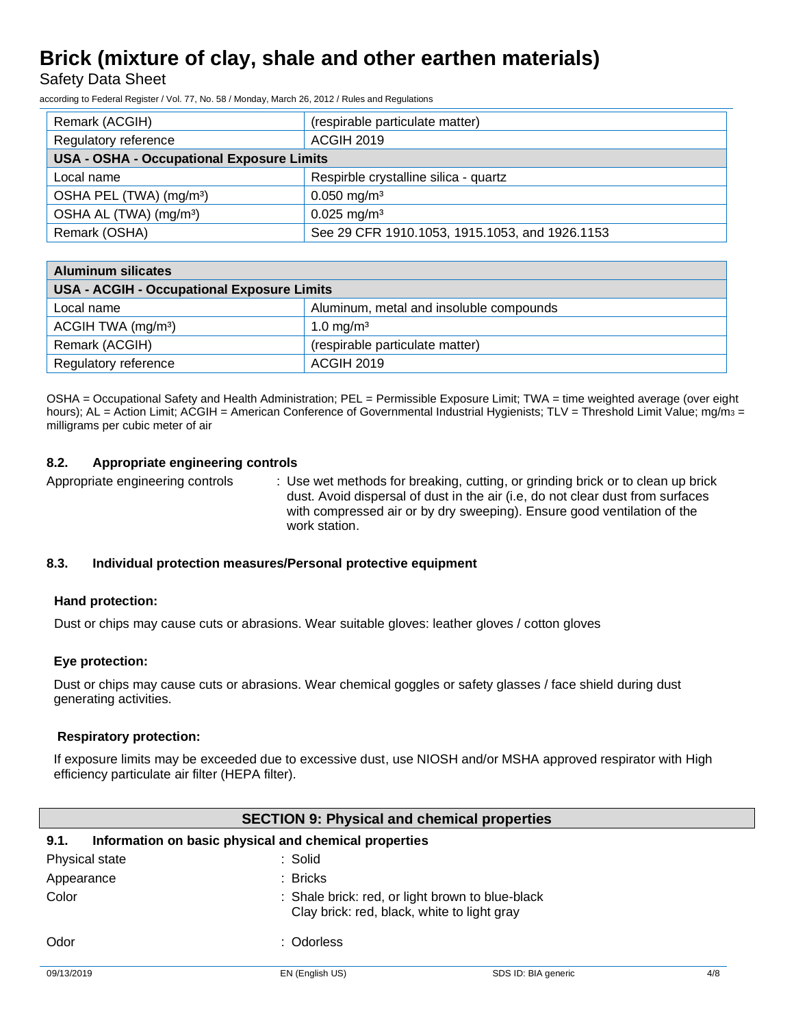Safety Data Sheet

according to Federal Register / Vol. 77, No. 58 / Monday, March 26, 2012 / Rules and Regulations

| Remark (ACGIH)                                   | (respirable particulate matter)                |  |
|--------------------------------------------------|------------------------------------------------|--|
| Regulatory reference                             | <b>ACGIH 2019</b>                              |  |
| <b>USA - OSHA - Occupational Exposure Limits</b> |                                                |  |
| Local name                                       | Respirble crystalline silica - quartz          |  |
| OSHA PEL (TWA) (mg/m <sup>3</sup> )              | $0.050$ mg/m <sup>3</sup>                      |  |
| OSHA AL (TWA) (mg/m <sup>3</sup> )               | $0.025$ mg/m <sup>3</sup>                      |  |
| Remark (OSHA)                                    | See 29 CFR 1910.1053, 1915.1053, and 1926.1153 |  |

| <b>Aluminum silicates</b>                         |                                         |  |  |
|---------------------------------------------------|-----------------------------------------|--|--|
| <b>USA - ACGIH - Occupational Exposure Limits</b> |                                         |  |  |
| Local name                                        | Aluminum, metal and insoluble compounds |  |  |
| ACGIH TWA $(mg/m3)$                               | 1.0 mg/m <sup>3</sup>                   |  |  |
| Remark (ACGIH)                                    | (respirable particulate matter)         |  |  |
| Regulatory reference                              | <b>ACGIH 2019</b>                       |  |  |

OSHA = Occupational Safety and Health Administration; PEL = Permissible Exposure Limit; TWA = time weighted average (over eight hours); AL = Action Limit; ACGIH = American Conference of Governmental Industrial Hygienists; TLV = Threshold Limit Value; mg/m<sub>3</sub> = milligrams per cubic meter of air

## **8.2. Appropriate engineering controls**

Appropriate engineering controls : Use wet methods for breaking, cutting, or grinding brick or to clean up brick dust. Avoid dispersal of dust in the air (i.e, do not clear dust from surfaces with compressed air or by dry sweeping). Ensure good ventilation of the work station.

## **8.3. Individual protection measures/Personal protective equipment**

## **Hand protection:**

Dust or chips may cause cuts or abrasions. Wear suitable gloves: leather gloves / cotton gloves

## **Eye protection:**

Dust or chips may cause cuts or abrasions. Wear chemical goggles or safety glasses / face shield during dust generating activities.

## **Respiratory protection:**

If exposure limits may be exceeded due to excessive dust, use NIOSH and/or MSHA approved respirator with High efficiency particulate air filter (HEPA filter).

| <b>SECTION 9: Physical and chemical properties</b> |                                                                                                 |                     |     |
|----------------------------------------------------|-------------------------------------------------------------------------------------------------|---------------------|-----|
| 9.1.                                               | Information on basic physical and chemical properties                                           |                     |     |
| Physical state                                     | :Solid                                                                                          |                     |     |
| Appearance                                         | : Bricks                                                                                        |                     |     |
| Color                                              | : Shale brick: red, or light brown to blue-black<br>Clay brick: red, black, white to light gray |                     |     |
| Odor                                               | : Odorless                                                                                      |                     |     |
| 09/13/2019                                         | EN (English US)                                                                                 | SDS ID: BIA generic | 4/8 |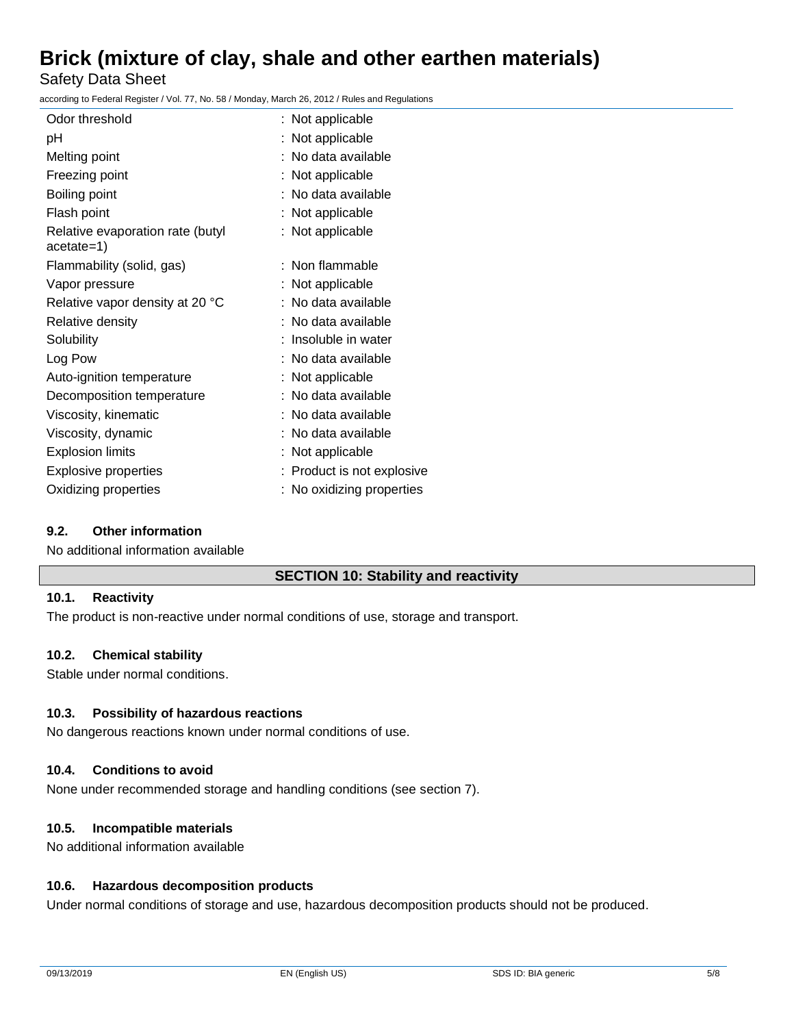Safety Data Sheet

according to Federal Register / Vol. 77, No. 58 / Monday, March 26, 2012 / Rules and Regulations

| Odor threshold                                 | : Not applicable           |
|------------------------------------------------|----------------------------|
| рH                                             | : Not applicable           |
| Melting point                                  | : No data available        |
| Freezing point                                 | : Not applicable           |
| Boiling point                                  | : No data available        |
| Flash point                                    | : Not applicable           |
| Relative evaporation rate (butyl<br>acetate=1) | : Not applicable           |
| Flammability (solid, gas)                      | : Non flammable            |
| Vapor pressure                                 | : Not applicable           |
| Relative vapor density at 20 °C                | : No data available        |
| Relative density                               | : No data available        |
| Solubility                                     | : Insoluble in water       |
| Log Pow                                        | : No data available        |
| Auto-ignition temperature                      | : Not applicable           |
| Decomposition temperature                      | : No data available        |
| Viscosity, kinematic                           | : No data available        |
| Viscosity, dynamic                             | : No data available        |
| <b>Explosion limits</b>                        | : Not applicable           |
| <b>Explosive properties</b>                    | : Product is not explosive |
| Oxidizing properties                           | : No oxidizing properties  |

## **9.2. Other information**

No additional information available

## **SECTION 10: Stability and reactivity**

## **10.1. Reactivity**

The product is non-reactive under normal conditions of use, storage and transport.

## **10.2. Chemical stability**

Stable under normal conditions.

## **10.3. Possibility of hazardous reactions**

No dangerous reactions known under normal conditions of use.

## **10.4. Conditions to avoid**

None under recommended storage and handling conditions (see section 7).

## **10.5. Incompatible materials**

No additional information available

## **10.6. Hazardous decomposition products**

Under normal conditions of storage and use, hazardous decomposition products should not be produced.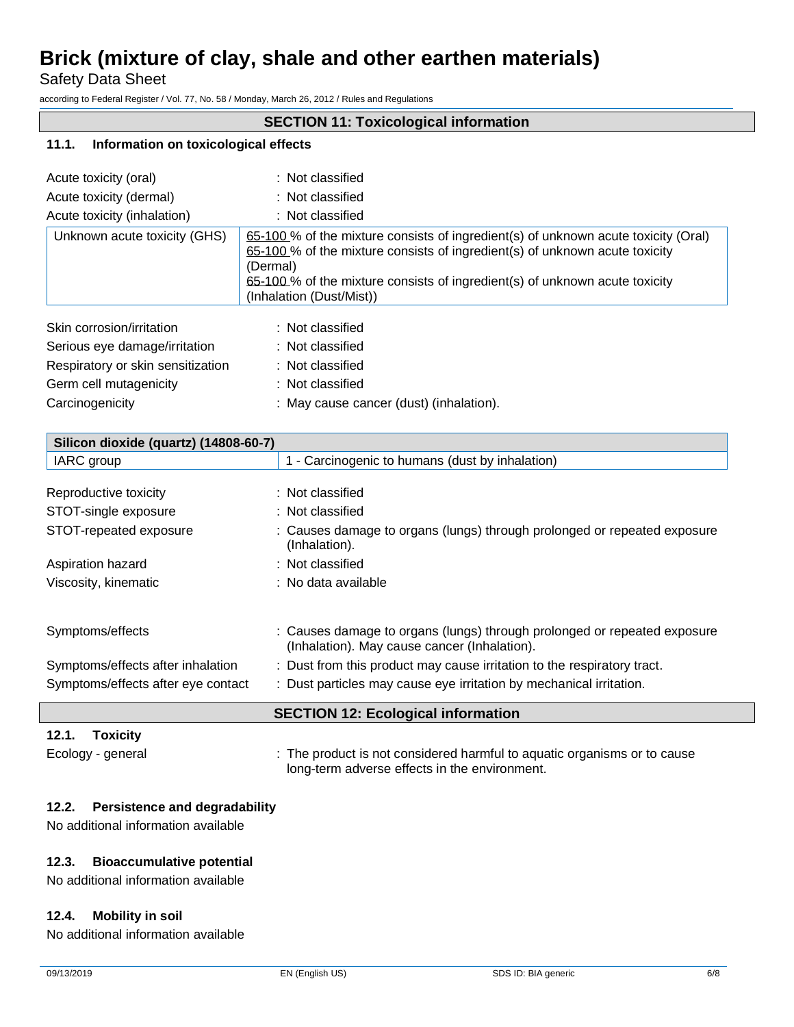Safety Data Sheet

according to Federal Register / Vol. 77, No. 58 / Monday, March 26, 2012 / Rules and Regulations

## **SECTION 11: Toxicological information**

#### **11.1. Information on toxicological effects**

| Acute toxicity (oral)             | : Not classified                                                                                                                                                                                                                                                                        |
|-----------------------------------|-----------------------------------------------------------------------------------------------------------------------------------------------------------------------------------------------------------------------------------------------------------------------------------------|
| Acute toxicity (dermal)           | : Not classified                                                                                                                                                                                                                                                                        |
| Acute toxicity (inhalation)       | : Not classified                                                                                                                                                                                                                                                                        |
| Unknown acute toxicity (GHS)      | 65-100 % of the mixture consists of ingredient(s) of unknown acute toxicity (Oral)<br>65-100 % of the mixture consists of ingredient(s) of unknown acute toxicity<br>(Dermal)<br>65-100% of the mixture consists of ingredient(s) of unknown acute toxicity<br>(Inhalation (Dust/Mist)) |
| Skin corrosion/irritation         | : Not classified                                                                                                                                                                                                                                                                        |
| Serious eye damage/irritation     | : Not classified                                                                                                                                                                                                                                                                        |
| Respiratory or skin sensitization | : Not classified                                                                                                                                                                                                                                                                        |
| Germ cell mutagenicity            | : Not classified                                                                                                                                                                                                                                                                        |
| Carcinogenicity                   | : May cause cancer (dust) (inhalation).                                                                                                                                                                                                                                                 |

|                                       | <b>SECTION 12: Ecological information</b>                                                                                |
|---------------------------------------|--------------------------------------------------------------------------------------------------------------------------|
| Symptoms/effects after eye contact    | : Dust particles may cause eye irritation by mechanical irritation.                                                      |
| Symptoms/effects after inhalation     | : Dust from this product may cause irritation to the respiratory tract.                                                  |
| Symptoms/effects                      | : Causes damage to organs (lungs) through prolonged or repeated exposure<br>(Inhalation). May cause cancer (Inhalation). |
| Viscosity, kinematic                  | : No data available                                                                                                      |
| Aspiration hazard                     | : Not classified                                                                                                         |
| STOT-repeated exposure                | : Causes damage to organs (lungs) through prolonged or repeated exposure<br>(Inhalation).                                |
| STOT-single exposure                  | : Not classified                                                                                                         |
| Reproductive toxicity                 | : Not classified                                                                                                         |
| IARC group                            | 1 - Carcinogenic to humans (dust by inhalation)                                                                          |
| Silicon dioxide (quartz) (14808-60-7) |                                                                                                                          |

## **12.1. Toxicity**

Ecology - general : The product is not considered harmful to aquatic organisms or to cause long-term adverse effects in the environment.

## **12.2. Persistence and degradability**

No additional information available

## **12.3. Bioaccumulative potential**

No additional information available

## **12.4. Mobility in soil**

No additional information available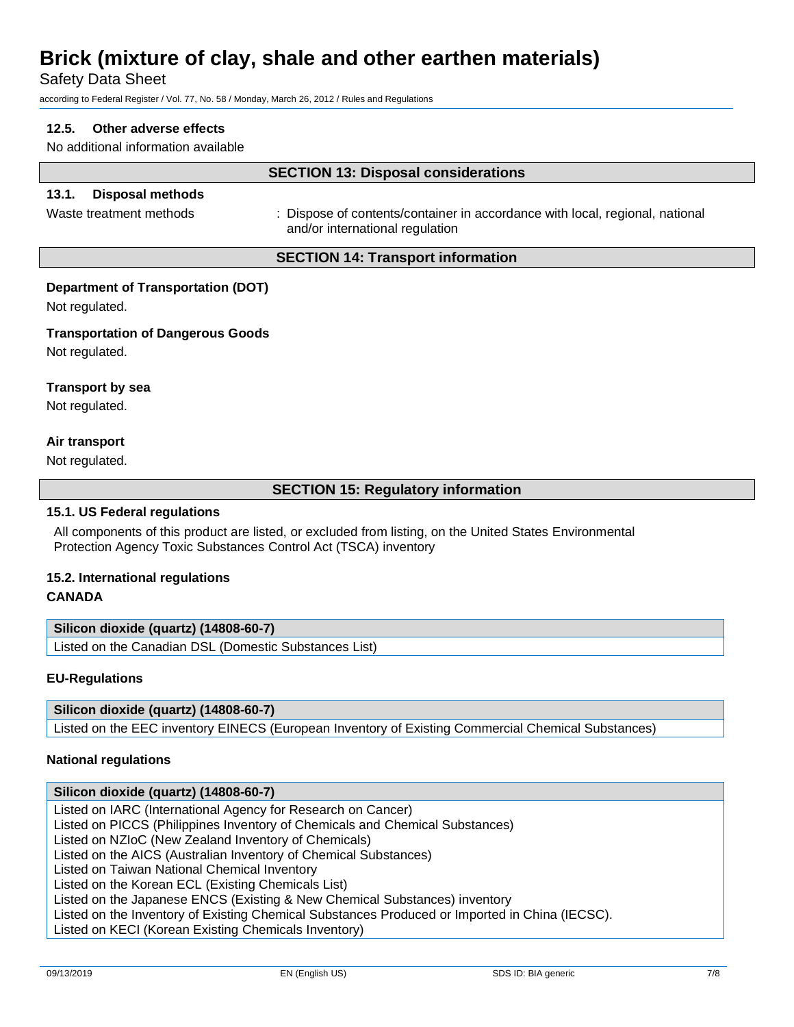Safety Data Sheet

according to Federal Register / Vol. 77, No. 58 / Monday, March 26, 2012 / Rules and Regulations

## **12.5. Other adverse effects**

No additional information available

## **SECTION 13: Disposal considerations**

## **13.1. Disposal methods**

Waste treatment methods : Dispose of contents/container in accordance with local, regional, national and/or international regulation

## **SECTION 14: Transport information**

#### **Department of Transportation (DOT)**

Not regulated.

#### **Transportation of Dangerous Goods**

Not regulated.

#### **Transport by sea**

Not regulated.

## **Air transport**

Not regulated.

## **SECTION 15: Regulatory information**

#### **15.1. US Federal regulations**

All components of this product are listed, or excluded from listing, on the United States Environmental Protection Agency Toxic Substances Control Act (TSCA) inventory

## **15.2. International regulations**

## **CANADA**

## **Silicon dioxide (quartz) (14808-60-7)**

Listed on the Canadian DSL (Domestic Substances List)

## **EU-Regulations**

## **Silicon dioxide (quartz) (14808-60-7)**

Listed on the EEC inventory EINECS (European Inventory of Existing Commercial Chemical Substances)

## **National regulations**

## **Silicon dioxide (quartz) (14808-60-7)** Listed on IARC (International Agency for Research on Cancer) Listed on PICCS (Philippines Inventory of Chemicals and Chemical Substances) Listed on NZIoC (New Zealand Inventory of Chemicals) Listed on the AICS (Australian Inventory of Chemical Substances) Listed on Taiwan National Chemical Inventory Listed on the Korean ECL (Existing Chemicals List) Listed on the Japanese ENCS (Existing & New Chemical Substances) inventory Listed on the Inventory of Existing Chemical Substances Produced or Imported in China (IECSC). Listed on KECI (Korean Existing Chemicals Inventory)